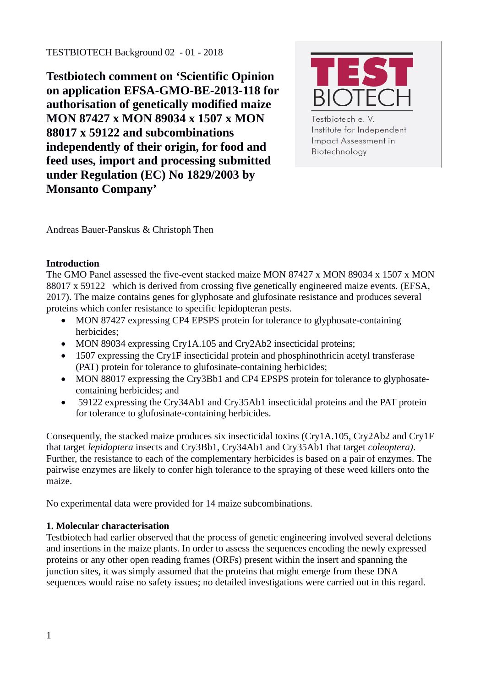**Testbiotech comment on 'Scientific Opinion on application EFSA-GMO-BE-2013-118 for authorisation of genetically modified maize MON 87427 x MON 89034 x 1507 x MON 88017 x 59122 and subcombinations independently of their origin, for food and feed uses, import and processing submitted under Regulation (EC) No 1829/2003 by Monsanto Company'**



Testbiotech e.V. Institute for Independent **Impact Assessment in** Biotechnology

Andreas Bauer-Panskus & Christoph Then

# **Introduction**

The GMO Panel assessed the five-event stacked maize MON 87427 x MON 89034 x 1507 x MON 88017 x 59122 which is derived from crossing five genetically engineered maize events. (EFSA, 2017). The maize contains genes for glyphosate and glufosinate resistance and produces several proteins which confer resistance to specific lepidopteran pests.

- MON 87427 expressing CP4 EPSPS protein for tolerance to glyphosate-containing herbicides;
- MON 89034 expressing Cry1A.105 and Cry2Ab2 insecticidal proteins;
- 1507 expressing the Cry1F insecticidal protein and phosphinothricin acetyl transferase (PAT) protein for tolerance to glufosinate-containing herbicides;
- MON 88017 expressing the Cry3Bb1 and CP4 EPSPS protein for tolerance to glyphosatecontaining herbicides; and
- 59122 expressing the Cry34Ab1 and Cry35Ab1 insecticidal proteins and the PAT protein for tolerance to glufosinate-containing herbicides.

Consequently, the stacked maize produces six insecticidal toxins (Cry1A.105, Cry2Ab2 and Cry1F that target *lepidoptera* insects and Cry3Bb1, Cry34Ab1 and Cry35Ab1 that target *coleoptera)*. Further, the resistance to each of the complementary herbicides is based on a pair of enzymes. The pairwise enzymes are likely to confer high tolerance to the spraying of these weed killers onto the maize.

No experimental data were provided for 14 maize subcombinations.

## **1. Molecular characterisation**

Testbiotech had earlier observed that the process of genetic engineering involved several deletions and insertions in the maize plants. In order to assess the sequences encoding the newly expressed proteins or any other open reading frames (ORFs) present within the insert and spanning the junction sites, it was simply assumed that the proteins that might emerge from these DNA sequences would raise no safety issues; no detailed investigations were carried out in this regard.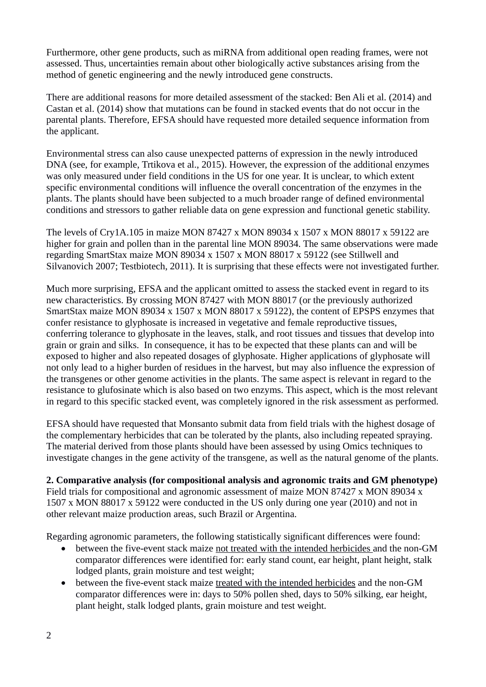Furthermore, other gene products, such as miRNA from additional open reading frames, were not assessed. Thus, uncertainties remain about other biologically active substances arising from the method of genetic engineering and the newly introduced gene constructs.

There are additional reasons for more detailed assessment of the stacked: Ben Ali et al. (2014) and Castan et al. (2014) show that mutations can be found in stacked events that do not occur in the parental plants. Therefore, EFSA should have requested more detailed sequence information from the applicant.

Environmental stress can also cause unexpected patterns of expression in the newly introduced DNA (see, for example, Trtikova et al., 2015). However, the expression of the additional enzymes was only measured under field conditions in the US for one year. It is unclear, to which extent specific environmental conditions will influence the overall concentration of the enzymes in the plants. The plants should have been subjected to a much broader range of defined environmental conditions and stressors to gather reliable data on gene expression and functional genetic stability.

The levels of Cry1A.105 in maize MON 87427 x MON 89034 x 1507 x MON 88017 x 59122 are higher for grain and pollen than in the parental line MON 89034. The same observations were made regarding SmartStax maize MON 89034 x 1507 x MON 88017 x 59122 (see Stillwell and Silvanovich 2007; Testbiotech, 2011). It is surprising that these effects were not investigated further.

Much more surprising, EFSA and the applicant omitted to assess the stacked event in regard to its new characteristics. By crossing MON 87427 with MON 88017 (or the previously authorized SmartStax maize MON 89034 x 1507 x MON 88017 x 59122), the content of EPSPS enzymes that confer resistance to glyphosate is increased in vegetative and female reproductive tissues, conferring tolerance to glyphosate in the leaves, stalk, and root tissues and tissues that develop into grain or grain and silks. In consequence, it has to be expected that these plants can and will be exposed to higher and also repeated dosages of glyphosate. Higher applications of glyphosate will not only lead to a higher burden of residues in the harvest, but may also influence the expression of the transgenes or other genome activities in the plants. The same aspect is relevant in regard to the resistance to glufosinate which is also based on two enzyms. This aspect, which is the most relevant in regard to this specific stacked event, was completely ignored in the risk assessment as performed.

EFSA should have requested that Monsanto submit data from field trials with the highest dosage of the complementary herbicides that can be tolerated by the plants, also including repeated spraying. The material derived from those plants should have been assessed by using Omics techniques to investigate changes in the gene activity of the transgene, as well as the natural genome of the plants.

**2. Comparative analysis (for compositional analysis and agronomic traits and GM phenotype)** Field trials for compositional and agronomic assessment of maize MON 87427 x MON 89034 x 1507 x MON 88017 x 59122 were conducted in the US only during one year (2010) and not in other relevant maize production areas, such Brazil or Argentina.

Regarding agronomic parameters, the following statistically significant differences were found:

- between the five-event stack maize not treated with the intended herbicides and the non-GM comparator differences were identified for: early stand count, ear height, plant height, stalk lodged plants, grain moisture and test weight;
- between the five-event stack maize treated with the intended herbicides and the non-GM comparator differences were in: days to 50% pollen shed, days to 50% silking, ear height, plant height, stalk lodged plants, grain moisture and test weight.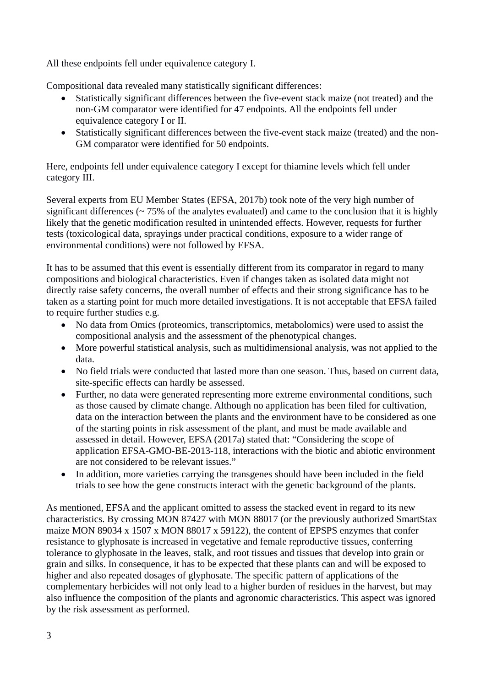All these endpoints fell under equivalence category I.

Compositional data revealed many statistically significant differences:

- Statistically significant differences between the five-event stack maize (not treated) and the non-GM comparator were identified for 47 endpoints. All the endpoints fell under equivalence category I or II.
- Statistically significant differences between the five-event stack maize (treated) and the non-GM comparator were identified for 50 endpoints.

Here, endpoints fell under equivalence category I except for thiamine levels which fell under category III.

Several experts from EU Member States (EFSA, 2017b) took note of the very high number of significant differences ( $\sim$  75% of the analytes evaluated) and came to the conclusion that it is highly likely that the genetic modification resulted in unintended effects. However, requests for further tests (toxicological data, sprayings under practical conditions, exposure to a wider range of environmental conditions) were not followed by EFSA.

It has to be assumed that this event is essentially different from its comparator in regard to many compositions and biological characteristics. Even if changes taken as isolated data might not directly raise safety concerns, the overall number of effects and their strong significance has to be taken as a starting point for much more detailed investigations. It is not acceptable that EFSA failed to require further studies e.g.

- No data from Omics (proteomics, transcriptomics, metabolomics) were used to assist the compositional analysis and the assessment of the phenotypical changes.
- More powerful statistical analysis, such as multidimensional analysis, was not applied to the data.
- No field trials were conducted that lasted more than one season. Thus, based on current data, site-specific effects can hardly be assessed.
- Further, no data were generated representing more extreme environmental conditions, such as those caused by climate change. Although no application has been filed for cultivation, data on the interaction between the plants and the environment have to be considered as one of the starting points in risk assessment of the plant, and must be made available and assessed in detail. However, EFSA (2017a) stated that: "Considering the scope of application EFSA-GMO-BE-2013-118, interactions with the biotic and abiotic environment are not considered to be relevant issues."
- In addition, more varieties carrying the transgenes should have been included in the field trials to see how the gene constructs interact with the genetic background of the plants.

As mentioned, EFSA and the applicant omitted to assess the stacked event in regard to its new characteristics. By crossing MON 87427 with MON 88017 (or the previously authorized SmartStax maize MON 89034 x 1507 x MON 88017 x 59122), the content of EPSPS enzymes that confer resistance to glyphosate is increased in vegetative and female reproductive tissues, conferring tolerance to glyphosate in the leaves, stalk, and root tissues and tissues that develop into grain or grain and silks. In consequence, it has to be expected that these plants can and will be exposed to higher and also repeated dosages of glyphosate. The specific pattern of applications of the complementary herbicides will not only lead to a higher burden of residues in the harvest, but may also influence the composition of the plants and agronomic characteristics. This aspect was ignored by the risk assessment as performed.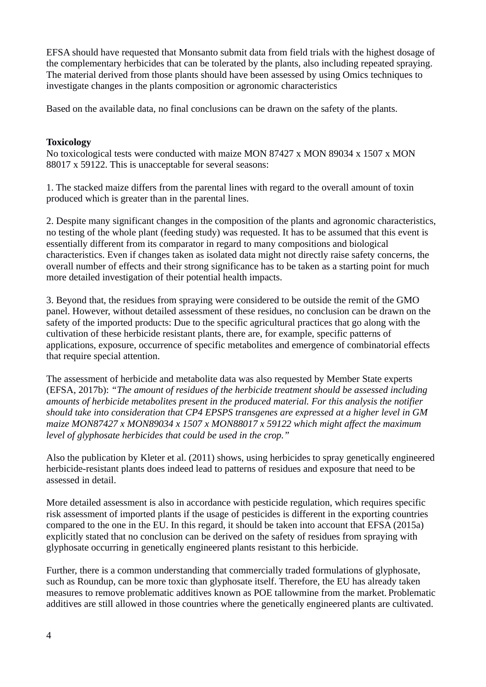EFSA should have requested that Monsanto submit data from field trials with the highest dosage of the complementary herbicides that can be tolerated by the plants, also including repeated spraying. The material derived from those plants should have been assessed by using Omics techniques to investigate changes in the plants composition or agronomic characteristics

Based on the available data, no final conclusions can be drawn on the safety of the plants.

### **Toxicology**

No toxicological tests were conducted with maize MON 87427 x MON 89034 x 1507 x MON 88017 x 59122. This is unacceptable for several seasons:

1. The stacked maize differs from the parental lines with regard to the overall amount of toxin produced which is greater than in the parental lines.

2. Despite many significant changes in the composition of the plants and agronomic characteristics, no testing of the whole plant (feeding study) was requested. It has to be assumed that this event is essentially different from its comparator in regard to many compositions and biological characteristics. Even if changes taken as isolated data might not directly raise safety concerns, the overall number of effects and their strong significance has to be taken as a starting point for much more detailed investigation of their potential health impacts.

3. Beyond that, the residues from spraying were considered to be outside the remit of the GMO panel. However, without detailed assessment of these residues, no conclusion can be drawn on the safety of the imported products: Due to the specific agricultural practices that go along with the cultivation of these herbicide resistant plants, there are, for example, specific patterns of applications, exposure, occurrence of specific metabolites and emergence of combinatorial effects that require special attention.

The assessment of herbicide and metabolite data was also requested by Member State experts (EFSA, 2017b): *"The amount of residues of the herbicide treatment should be assessed including amounts of herbicide metabolites present in the produced material. For this analysis the notifier should take into consideration that CP4 EPSPS transgenes are expressed at a higher level in GM maize MON87427 x MON89034 x 1507 x MON88017 x 59122 which might affect the maximum level of glyphosate herbicides that could be used in the crop."*

Also the publication by Kleter et al. (2011) shows, using herbicides to spray genetically engineered herbicide-resistant plants does indeed lead to patterns of residues and exposure that need to be assessed in detail.

More detailed assessment is also in accordance with pesticide regulation, which requires specific risk assessment of imported plants if the usage of pesticides is different in the exporting countries compared to the one in the EU. In this regard, it should be taken into account that EFSA (2015a) explicitly stated that no conclusion can be derived on the safety of residues from spraying with glyphosate occurring in genetically engineered plants resistant to this herbicide.

Further, there is a common understanding that commercially traded formulations of glyphosate, such as Roundup, can be more toxic than glyphosate itself. Therefore, the EU has already taken measures to remove problematic additives known as POE tallowmine from the market. Problematic additives are still allowed in those countries where the genetically engineered plants are cultivated.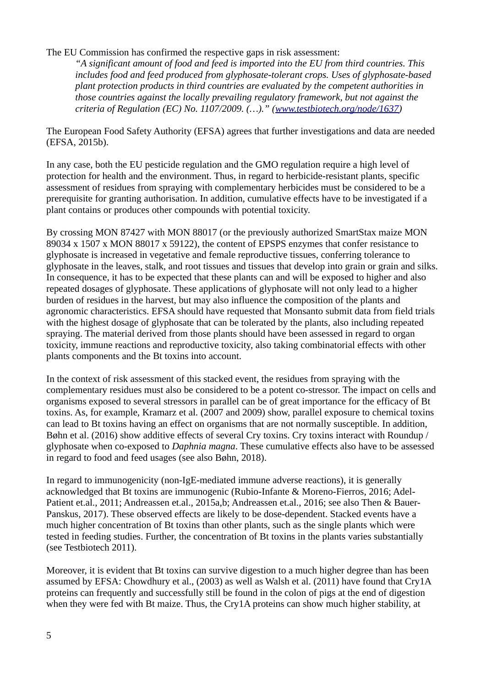### The EU Commission has confirmed the respective gaps in risk assessment:

*"A significant amount of food and feed is imported into the EU from third countries. This includes food and feed produced from glyphosate-tolerant crops. Uses of glyphosate-based plant protection products in third countries are evaluated by the competent authorities in those countries against the locally prevailing regulatory framework, but not against the criteria of Regulation (EC) No. 1107/2009. (…)." [\(www.testbiotech.org/node/1637\)](http://www.testbiotech.org/node/1637)* 

The European Food Safety Authority (EFSA) agrees that further investigations and data are needed (EFSA, 2015b).

In any case, both the EU pesticide regulation and the GMO regulation require a high level of protection for health and the environment. Thus, in regard to herbicide-resistant plants, specific assessment of residues from spraying with complementary herbicides must be considered to be a prerequisite for granting authorisation. In addition, cumulative effects have to be investigated if a plant contains or produces other compounds with potential toxicity.

By crossing MON 87427 with MON 88017 (or the previously authorized SmartStax maize MON 89034 x 1507 x MON 88017 x 59122), the content of EPSPS enzymes that confer resistance to glyphosate is increased in vegetative and female reproductive tissues, conferring tolerance to glyphosate in the leaves, stalk, and root tissues and tissues that develop into grain or grain and silks. In consequence, it has to be expected that these plants can and will be exposed to higher and also repeated dosages of glyphosate. These applications of glyphosate will not only lead to a higher burden of residues in the harvest, but may also influence the composition of the plants and agronomic characteristics. EFSA should have requested that Monsanto submit data from field trials with the highest dosage of glyphosate that can be tolerated by the plants, also including repeated spraying. The material derived from those plants should have been assessed in regard to organ toxicity, immune reactions and reproductive toxicity, also taking combinatorial effects with other plants components and the Bt toxins into account.

In the context of risk assessment of this stacked event, the residues from spraying with the complementary residues must also be considered to be a potent co-stressor. The impact on cells and organisms exposed to several stressors in parallel can be of great importance for the efficacy of Bt toxins. As, for example, Kramarz et al. (2007 and 2009) show, parallel exposure to chemical toxins can lead to Bt toxins having an effect on organisms that are not normally susceptible. In addition, Bøhn et al. (2016) show additive effects of several Cry toxins. Cry toxins interact with Roundup / glyphosate when co-exposed to *Daphnia magna*. These cumulative effects also have to be assessed in regard to food and feed usages (see also Bøhn, 2018).

In regard to immunogenicity (non-IgE-mediated immune adverse reactions), it is generally acknowledged that Bt toxins are immunogenic (Rubio-Infante & Moreno-Fierros, 2016; Adel-Patient et.al., 2011; Andreassen et.al., 2015a,b; Andreassen et.al., 2016; see also Then & Bauer-Panskus, 2017). These observed effects are likely to be dose-dependent. Stacked events have a much higher concentration of Bt toxins than other plants, such as the single plants which were tested in feeding studies. Further, the concentration of Bt toxins in the plants varies substantially (see Testbiotech 2011).

Moreover, it is evident that Bt toxins can survive digestion to a much higher degree than has been assumed by EFSA: Chowdhury et al., (2003) as well as Walsh et al. (2011) have found that Cry1A proteins can frequently and successfully still be found in the colon of pigs at the end of digestion when they were fed with Bt maize. Thus, the Cry1A proteins can show much higher stability, at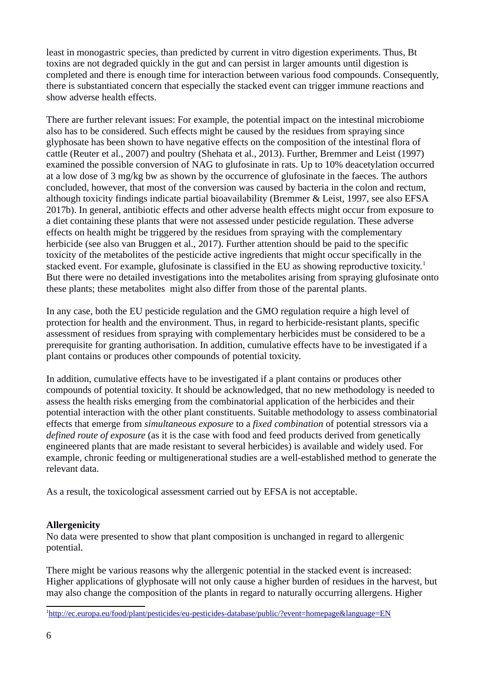least in monogastric species, than predicted by current in vitro digestion experiments. Thus, Bt toxins are not degraded quickly in the gut and can persist in larger amounts until digestion is completed and there is enough time for interaction between various food compounds. Consequently, there is substantiated concern that especially the stacked event can trigger immune reactions and show adverse health effects.

There are further relevant issues: For example, the potential impact on the intestinal microbiome also has to be considered. Such effects might be caused by the residues from spraying since glyphosate has been shown to have negative effects on the composition of the intestinal flora of cattle (Reuter et al., 2007) and poultry (Shehata et al., 2013). Further, Bremmer and Leist (1997) examined the possible conversion of NAG to glufosinate in rats. Up to 10% deacetylation occurred at a low dose of 3 mg/kg bw as shown by the occurrence of glufosinate in the faeces. The authors concluded, however, that most of the conversion was caused by bacteria in the colon and rectum, although toxicity findings indicate partial bioavailability (Bremmer & Leist, 1997, see also EFSA 2017b). In general, antibiotic effects and other adverse health effects might occur from exposure to a diet containing these plants that were not assessed under pesticide regulation. These adverse effects on health might be triggered by the residues from spraying with the complementary herbicide (see also van Bruggen et al., 2017). Further attention should be paid to the specific toxicity of the metabolites of the pesticide active ingredients that might occur specifically in the stacked event. For example, glufosinate is classified in the EU as showing reproductive toxicity.<sup>[1](#page-5-0)</sup> But there were no detailed investigations into the metabolites arising from spraying glufosinate onto these plants; these metabolites might also differ from those of the parental plants.

In any case, both the EU pesticide regulation and the GMO regulation require a high level of protection for health and the environment. Thus, in regard to herbicide-resistant plants, specific assessment of residues from spraying with complementary herbicides must be considered to be a prerequisite for granting authorisation. In addition, cumulative effects have to be investigated if a plant contains or produces other compounds of potential toxicity.

In addition, cumulative effects have to be investigated if a plant contains or produces other compounds of potential toxicity. It should be acknowledged, that no new methodology is needed to assess the health risks emerging from the combinatorial application of the herbicides and their potential interaction with the other plant constituents. Suitable methodology to assess combinatorial effects that emerge from *simultaneous exposure* to a *fixed combination* of potential stressors via a *defined route of exposure* (as it is the case with food and feed products derived from genetically engineered plants that are made resistant to several herbicides) is available and widely used. For example, chronic feeding or multigenerational studies are a well-established method to generate the relevant data.

As a result, the toxicological assessment carried out by EFSA is not acceptable.

### **Allergenicity**

No data were presented to show that plant composition is unchanged in regard to allergenic potential.

There might be various reasons why the allergenic potential in the stacked event is increased: Higher applications of glyphosate will not only cause a higher burden of residues in the harvest, but may also change the composition of the plants in regard to naturally occurring allergens. Higher

<span id="page-5-0"></span><sup>1</sup> <http://ec.europa.eu/food/plant/pesticides/eu-pesticides-database/public/?event=homepage&language=EN>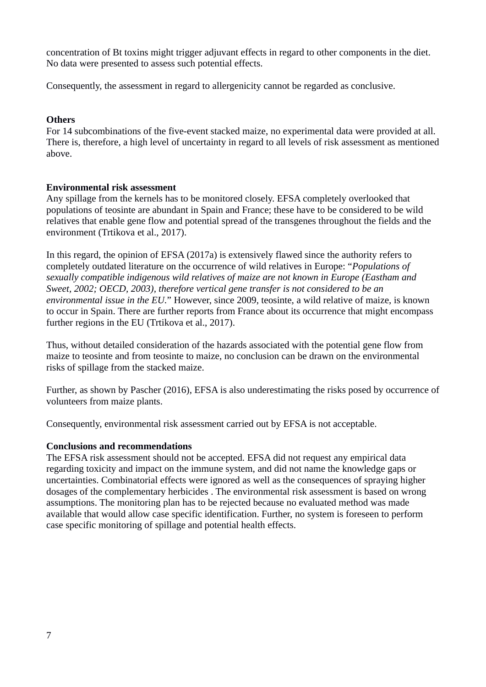concentration of Bt toxins might trigger adjuvant effects in regard to other components in the diet. No data were presented to assess such potential effects.

Consequently, the assessment in regard to allergenicity cannot be regarded as conclusive.

#### **Others**

For 14 subcombinations of the five-event stacked maize, no experimental data were provided at all. There is, therefore, a high level of uncertainty in regard to all levels of risk assessment as mentioned above.

#### **Environmental risk assessment**

Any spillage from the kernels has to be monitored closely. EFSA completely overlooked that populations of teosinte are abundant in Spain and France; these have to be considered to be wild relatives that enable gene flow and potential spread of the transgenes throughout the fields and the environment (Trtikova et al., 2017).

In this regard, the opinion of EFSA (2017a) is extensively flawed since the authority refers to completely outdated literature on the occurrence of wild relatives in Europe: "*Populations of sexually compatible indigenous wild relatives of maize are not known in Europe (Eastham and Sweet, 2002; OECD, 2003), therefore vertical gene transfer is not considered to be an environmental issue in the EU.*" However, since 2009, teosinte, a wild relative of maize, is known to occur in Spain. There are further reports from France about its occurrence that might encompass further regions in the EU (Trtikova et al., 2017).

Thus, without detailed consideration of the hazards associated with the potential gene flow from maize to teosinte and from teosinte to maize, no conclusion can be drawn on the environmental risks of spillage from the stacked maize.

Further, as shown by Pascher (2016), EFSA is also underestimating the risks posed by occurrence of volunteers from maize plants.

Consequently, environmental risk assessment carried out by EFSA is not acceptable.

### **Conclusions and recommendations**

The EFSA risk assessment should not be accepted. EFSA did not request any empirical data regarding toxicity and impact on the immune system, and did not name the knowledge gaps or uncertainties. Combinatorial effects were ignored as well as the consequences of spraying higher dosages of the complementary herbicides . The environmental risk assessment is based on wrong assumptions. The monitoring plan has to be rejected because no evaluated method was made available that would allow case specific identification. Further, no system is foreseen to perform case specific monitoring of spillage and potential health effects.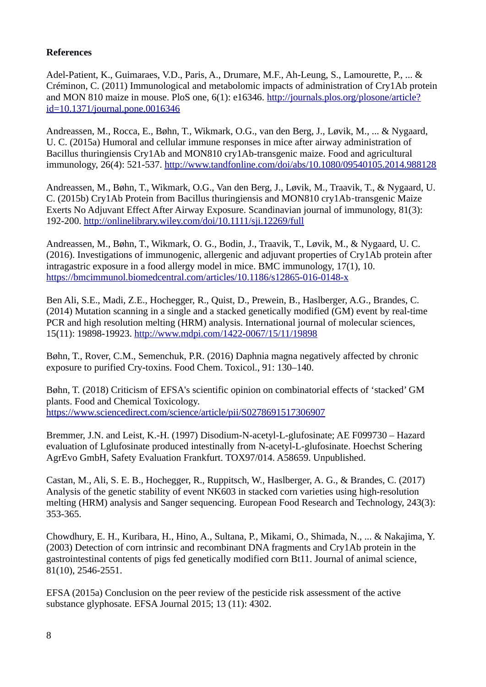## **References**

Adel-Patient, K., Guimaraes, V.D., Paris, A., Drumare, M.F., Ah-Leung, S., Lamourette, P., ... & Créminon, C. (2011) Immunological and metabolomic impacts of administration of Cry1Ab protein and MON 810 maize in mouse. PloS one, 6(1): e16346. [http://journals.plos.org/plosone/article?](http://journals.plos.org/plosone/article?id=10.1371/journal.pone.0016346) [id=10.1371/journal.pone.0016346](http://journals.plos.org/plosone/article?id=10.1371/journal.pone.0016346)

Andreassen, M., Rocca, E., Bøhn, T., Wikmark, O.G., van den Berg, J., Løvik, M., ... & Nygaard, U. C. (2015a) Humoral and cellular immune responses in mice after airway administration of Bacillus thuringiensis Cry1Ab and MON810 cry1Ab-transgenic maize. Food and agricultural immunology, 26(4): 521-537.<http://www.tandfonline.com/doi/abs/10.1080/09540105.2014.988128>

Andreassen, M., Bøhn, T., Wikmark, O.G., Van den Berg, J., Løvik, M., Traavik, T., & Nygaard, U. C. (2015b) Cry1Ab Protein from Bacillus thuringiensis and MON810 cry1Ab-transgenic Maize Exerts No Adjuvant Effect After Airway Exposure. Scandinavian journal of immunology, 81(3): 192-200.<http://onlinelibrary.wiley.com/doi/10.1111/sji.12269/full>

Andreassen, M., Bøhn, T., Wikmark, O. G., Bodin, J., Traavik, T., Løvik, M., & Nygaard, U. C. (2016). Investigations of immunogenic, allergenic and adjuvant properties of Cry1Ab protein after intragastric exposure in a food allergy model in mice. BMC immunology, 17(1), 10. <https://bmcimmunol.biomedcentral.com/articles/10.1186/s12865-016-0148-x>

Ben Ali, S.E., Madi, Z.E., Hochegger, R., Quist, D., Prewein, B., Haslberger, A.G., Brandes, C. (2014) Mutation scanning in a single and a stacked genetically modified (GM) event by real-time PCR and high resolution melting (HRM) analysis. International journal of molecular sciences, 15(11): 19898-19923.<http://www.mdpi.com/1422-0067/15/11/19898>

Bøhn, T., Rover, C.M., Semenchuk, P.R. (2016) Daphnia magna negatively affected by chronic exposure to purified Cry-toxins. Food Chem. Toxicol., 91: 130–140.

Bøhn, T. (2018) Criticism of EFSA's scientific opinion on combinatorial effects of 'stacked' GM plants. Food and Chemical Toxicology. <https://www.sciencedirect.com/science/article/pii/S0278691517306907>

Bremmer, J.N. and Leist, K.-H. (1997) Disodium-N-acetyl-L-glufosinate; AE F099730 – Hazard evaluation of Lglufosinate produced intestinally from N-acetyl-L-glufosinate. Hoechst Schering AgrEvo GmbH, Safety Evaluation Frankfurt. TOX97/014. A58659. Unpublished.

Castan, M., Ali, S. E. B., Hochegger, R., Ruppitsch, W., Haslberger, A. G., & Brandes, C. (2017) Analysis of the genetic stability of event NK603 in stacked corn varieties using high-resolution melting (HRM) analysis and Sanger sequencing. European Food Research and Technology, 243(3): 353-365.

Chowdhury, E. H., Kuribara, H., Hino, A., Sultana, P., Mikami, O., Shimada, N., ... & Nakajima, Y. (2003) Detection of corn intrinsic and recombinant DNA fragments and Cry1Ab protein in the gastrointestinal contents of pigs fed genetically modified corn Bt11. Journal of animal science, 81(10), 2546-2551.

EFSA (2015a) Conclusion on the peer review of the pesticide risk assessment of the active substance glyphosate. EFSA Journal 2015; 13 (11): 4302.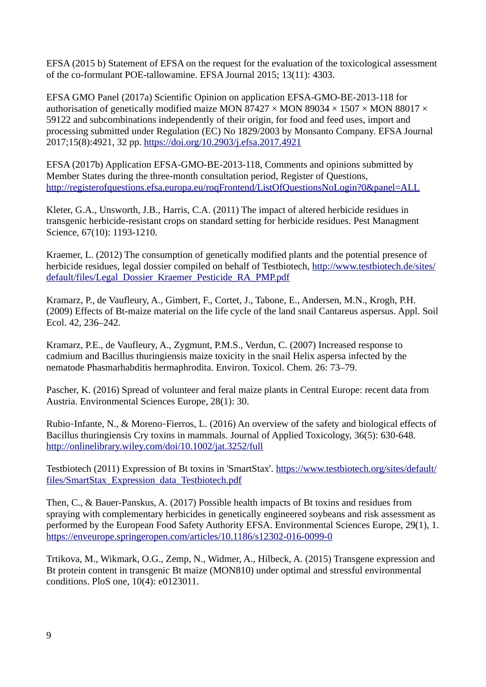EFSA (2015 b) Statement of EFSA on the request for the evaluation of the toxicological assessment of the co-formulant POE-tallowamine. EFSA Journal 2015; 13(11): 4303.

EFSA GMO Panel (2017a) Scientific Opinion on application EFSA-GMO-BE-2013-118 for authorisation of genetically modified maize MON 87427  $\times$  MON 89034  $\times$  1507  $\times$  MON 88017  $\times$ 59122 and subcombinations independently of their origin, for food and feed uses, import and processing submitted under Regulation (EC) No 1829/2003 by Monsanto Company. EFSA Journal 2017;15(8):4921, 32 pp.<https://doi.org/10.2903/j.efsa.2017.4921>

EFSA (2017b) Application EFSA-GMO-BE-2013-118, Comments and opinions submitted by Member States during the three-month consultation period, Register of Questions, <http://registerofquestions.efsa.europa.eu/roqFrontend/ListOfQuestionsNoLogin?0&panel=ALL>

Kleter, G.A., Unsworth, J.B., Harris, C.A. (2011) The impact of altered herbicide residues in transgenic herbicide-resistant crops on standard setting for herbicide residues. Pest Managment Science, 67(10): 1193-1210.

Kraemer, L. (2012) The consumption of genetically modified plants and the potential presence of herbicide residues, legal dossier compiled on behalf of Testbiotech, [http://www.testbiotech.de/sites/](http://www.testbiotech.de/sites/default/files/Legal_Dossier_Kraemer_Pesticide_RA_PMP.pdf) [default/files/Legal\\_Dossier\\_Kraemer\\_Pesticide\\_RA\\_PMP.pdf](http://www.testbiotech.de/sites/default/files/Legal_Dossier_Kraemer_Pesticide_RA_PMP.pdf)

Kramarz, P., de Vaufleury, A., Gimbert, F., Cortet, J., Tabone, E., Andersen, M.N., Krogh, P.H. (2009) Effects of Bt-maize material on the life cycle of the land snail Cantareus aspersus. Appl. Soil Ecol. 42, 236–242.

Kramarz, P.E., de Vaufleury, A., Zygmunt, P.M.S., Verdun, C. (2007) Increased response to cadmium and Bacillus thuringiensis maize toxicity in the snail Helix aspersa infected by the nematode Phasmarhabditis hermaphrodita. Environ. Toxicol. Chem. 26: 73–79.

Pascher, K. (2016) Spread of volunteer and feral maize plants in Central Europe: recent data from Austria. Environmental Sciences Europe, 28(1): 30.

Rubio-Infante, N., & Moreno-Fierros, L. (2016) An overview of the safety and biological effects of Bacillus thuringiensis Cry toxins in mammals. Journal of Applied Toxicology, 36(5): 630-648. <http://onlinelibrary.wiley.com/doi/10.1002/jat.3252/full>

Testbiotech (2011) Expression of Bt toxins in 'SmartStax'. [https://www.testbiotech.org/sites/default/](https://www.testbiotech.org/sites/default/files/SmartStax_Expression_data_Testbiotech.pdf) [files/SmartStax\\_Expression\\_data\\_Testbiotech.pdf](https://www.testbiotech.org/sites/default/files/SmartStax_Expression_data_Testbiotech.pdf)

Then, C., & Bauer-Panskus, A. (2017) Possible health impacts of Bt toxins and residues from spraying with complementary herbicides in genetically engineered soybeans and risk assessment as performed by the European Food Safety Authority EFSA. Environmental Sciences Europe, 29(1), 1. <https://enveurope.springeropen.com/articles/10.1186/s12302-016-0099-0>

Trtikova, M., Wikmark, O.G., Zemp, N., Widmer, A., Hilbeck, A. (2015) Transgene expression and Bt protein content in transgenic Bt maize (MON810) under optimal and stressful environmental conditions. PloS one, 10(4): e0123011.